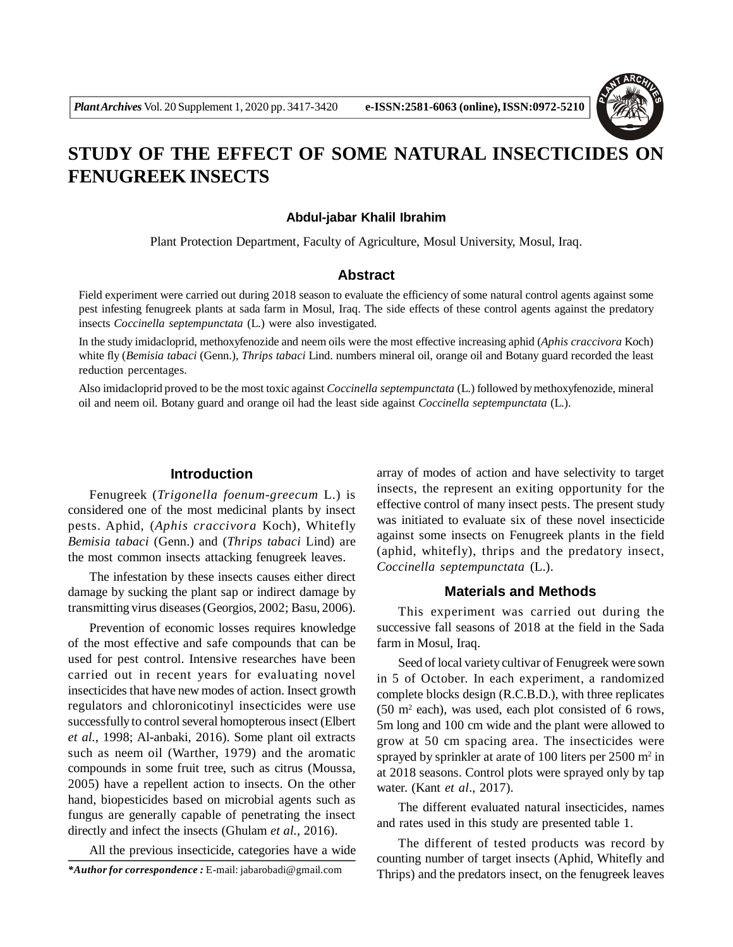

# **STUDY OF THE EFFECT OF SOME NATURAL INSECTICIDES ON FENUGREEK INSECTS**

#### **Abdul-jabar Khalil Ibrahim**

Plant Protection Department, Faculty of Agriculture, Mosul University, Mosul, Iraq.

## **Abstract**

Field experiment were carried out during 2018 season to evaluate the efficiency of some natural control agents against some pest infesting fenugreek plants at sada farm in Mosul, Iraq. The side effects of these control agents against the predatory insects *Coccinella septempunctata* (L.) were also investigated.

In the study imidacloprid, methoxyfenozide and neem oils were the most effective increasing aphid (*Aphis craccivora* Koch) white fly (*Bemisia tabaci* (Genn.), *Thrips tabaci* Lind. numbers mineral oil, orange oil and Botany guard recorded the least reduction percentages.

Also imidacloprid proved to be the most toxic against *Coccinella septempunctata* (L.) followed by methoxyfenozide, mineral oil and neem oil. Botany guard and orange oil had the least side against *Coccinella septempunctata* (L.).

## **Introduction**

Fenugreek (*Trigonella foenum-greecum* L.) is considered one of the most medicinal plants by insect pests. Aphid, (*Aphis craccivora* Koch), Whitefly *Bemisia tabaci* (Genn.) and (*Thrips tabaci* Lind) are the most common insects attacking fenugreek leaves.

The infestation by these insects causes either direct damage by sucking the plant sap or indirect damage by transmitting virus diseases (Georgios, 2002; Basu, 2006).

Prevention of economic losses requires knowledge of the most effective and safe compounds that can be used for pest control. Intensive researches have been carried out in recent years for evaluating novel insecticides that have new modes of action. Insect growth regulators and chloronicotinyl insecticides were use successfully to control several homopterous insect (Elbert *et al.*, 1998; Al-anbaki, 2016). Some plant oil extracts such as neem oil (Warther, 1979) and the aromatic compounds in some fruit tree, such as citrus (Moussa, 2005) have a repellent action to insects. On the other hand, biopesticides based on microbial agents such as fungus are generally capable of penetrating the insect directly and infect the insects (Ghulam *et al.*, 2016).

All the previous insecticide, categories have a wide

array of modes of action and have selectivity to target insects, the represent an exiting opportunity for the effective control of many insect pests. The present study was initiated to evaluate six of these novel insecticide against some insects on Fenugreek plants in the field (aphid, whitefly), thrips and the predatory insect, *Coccinella septempunctata* (L.).

## **Materials and Methods**

This experiment was carried out during the successive fall seasons of 2018 at the field in the Sada farm in Mosul, Iraq.

Seed of local variety cultivar of Fenugreek were sown in 5 of October. In each experiment, a randomized complete blocks design (R.C.B.D.), with three replicates  $(50 \text{ m}^2 \text{ each})$ , was used, each plot consisted of 6 rows, 5m long and 100 cm wide and the plant were allowed to grow at 50 cm spacing area. The insecticides were sprayed by sprinkler at arate of 100 liters per  $2500 \text{ m}^2$  in at 2018 seasons. Control plots were sprayed only by tap water. (Kant *et al*., 2017).

The different evaluated natural insecticides, names and rates used in this study are presented table 1.

The different of tested products was record by counting number of target insects (Aphid, Whitefly and Thrips) and the predators insect, on the fenugreek leaves

*<sup>\*</sup>Author for correspondence :* E-mail: jabarobadi@gmail.com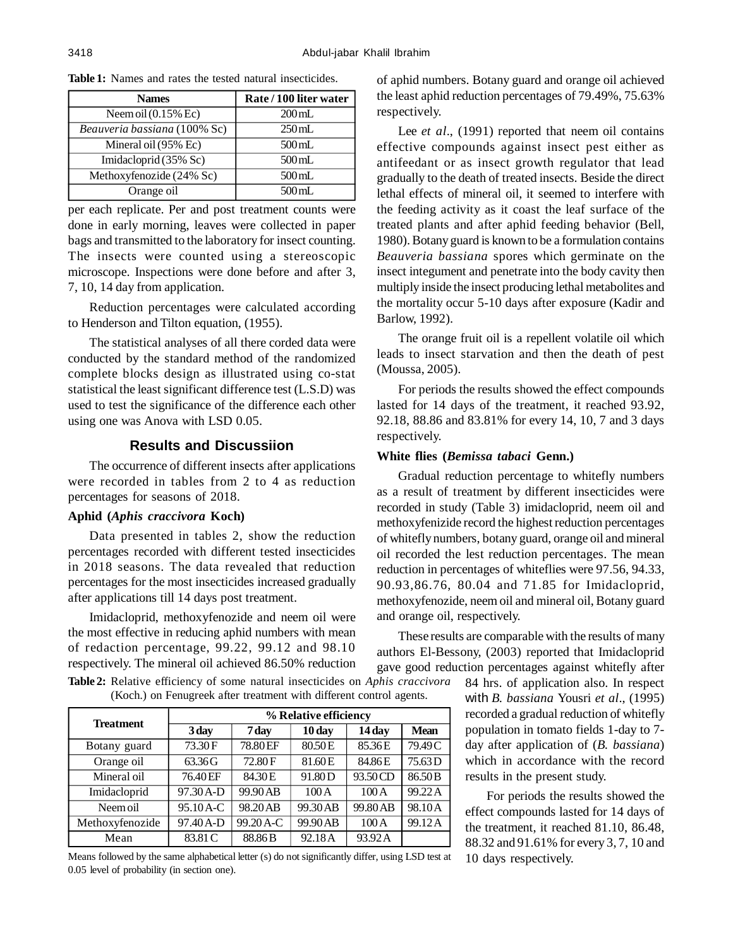| <b>Names</b>                 | Rate / 100 liter water |
|------------------------------|------------------------|
| Neem oil $(0.15\%$ Ec)       | $200 \text{ mL}$       |
| Beauveria bassiana (100% Sc) | $250 \text{ mL}$       |
| Mineral oil (95% Ec)         | $500 \text{ mL}$       |
| Imidacloprid (35% Sc)        | $500 \text{ mL}$       |
| Methoxyfenozide (24% Sc)     | $500 \,\mathrm{mL}$    |
| Orange oil                   | $500 \,\mathrm{mL}$    |

**Table 1:** Names and rates the tested natural insecticides.

per each replicate. Per and post treatment counts were done in early morning, leaves were collected in paper bags and transmitted to the laboratory for insect counting. The insects were counted using a stereoscopic microscope. Inspections were done before and after 3, 7, 10, 14 day from application.

Reduction percentages were calculated according to Henderson and Tilton equation, (1955).

The statistical analyses of all there corded data were conducted by the standard method of the randomized complete blocks design as illustrated using co-stat statistical the least significant difference test (L.S.D) was used to test the significance of the difference each other using one was Anova with LSD 0.05.

#### **Results and Discussiion**

The occurrence of different insects after applications were recorded in tables from 2 to 4 as reduction percentages for seasons of 2018.

#### **Aphid (***Aphis craccivora* **Koch)**

Data presented in tables 2, show the reduction percentages recorded with different tested insecticides in 2018 seasons. The data revealed that reduction percentages for the most insecticides increased gradually after applications till 14 days post treatment.

Imidacloprid, methoxyfenozide and neem oil were the most effective in reducing aphid numbers with mean of redaction percentage, 99.22, 99.12 and 98.10 respectively. The mineral oil achieved 86.50% reduction

of aphid numbers. Botany guard and orange oil achieved the least aphid reduction percentages of 79.49%, 75.63% respectively.

Lee *et al.*, (1991) reported that neem oil contains effective compounds against insect pest either as antifeedant or as insect growth regulator that lead gradually to the death of treated insects. Beside the direct lethal effects of mineral oil, it seemed to interfere with the feeding activity as it coast the leaf surface of the treated plants and after aphid feeding behavior (Bell, 1980). Botany guard is known to be a formulation contains *Beauveria bassiana* spores which germinate on the insect integument and penetrate into the body cavity then multiply inside the insect producing lethal metabolites and the mortality occur 5-10 days after exposure (Kadir and Barlow, 1992).

The orange fruit oil is a repellent volatile oil which leads to insect starvation and then the death of pest (Moussa, 2005).

For periods the results showed the effect compounds lasted for 14 days of the treatment, it reached 93.92, 92.18, 88.86 and 83.81% for every 14, 10, 7 and 3 days respectively.

#### **White flies (***Bemissa tabaci* **Genn.)**

Gradual reduction percentage to whitefly numbers as a result of treatment by different insecticides were recorded in study (Table 3) imidacloprid, neem oil and methoxyfenizide record the highest reduction percentages of whitefly numbers, botany guard, orange oil and mineral oil recorded the lest reduction percentages. The mean reduction in percentages of whiteflies were 97.56, 94.33, 90.93,86.76, 80.04 and 71.85 for Imidacloprid, methoxyfenozide, neem oil and mineral oil, Botany guard and orange oil, respectively.

These results are comparable with the results of many authors El-Bessony, (2003) reported that Imidacloprid gave good reduction percentages against whitefly after

**Table 2:** Relative efficiency of some natural insecticides on *Aphis craccivora* (Koch.) on Fenugreek after treatment with different control agents.

| <b>Treatment</b> | % Relative efficiency |           |             |         |             |
|------------------|-----------------------|-----------|-------------|---------|-------------|
|                  | 3 day                 | 7 day     | $10 \, day$ | 14 day  | <b>Mean</b> |
| Botany guard     | 73.30F                | 78.80 EF  | 80.50E      | 85.36E  | 79.49C      |
| Orange oil       | 63.36G                | 72.80 F   | 81.60E      | 84.86E  | 75.63D      |
| Mineral oil      | 76.40 EF              | 84.30 E   | 91.80D      | 93.50CD | 86.50 B     |
| Imidacloprid     | 97.30 A-D             | 99.90AB   | 100A        | 100A    | 99.22A      |
| Neem oil         | 95.10 A-C             | 98.20AB   | 99.30 AB    | 99.80AB | 98.10A      |
| Methoxyfenozide  | 97.40 A-D             | 99.20 A-C | 99.90 AB    | 100A    | 99.12A      |
| Mean             | 83.81 C               | 88.86B    | 92.18A      | 93.92A  |             |

Means followed by the same alphabetical letter (s) do not significantly differ, using LSD test at 0.05 level of probability (in section one).

84 hrs. of application also. In respect with *B. bassiana* Yousri *et al*., (1995) recorded a gradual reduction of whitefly population in tomato fields 1-day to 7 day after application of (*B. bassiana*) which in accordance with the record results in the present study.

For periods the results showed the effect compounds lasted for 14 days of the treatment, it reached 81.10, 86.48, 88.32 and 91.61% for every 3, 7, 10 and 10 days respectively.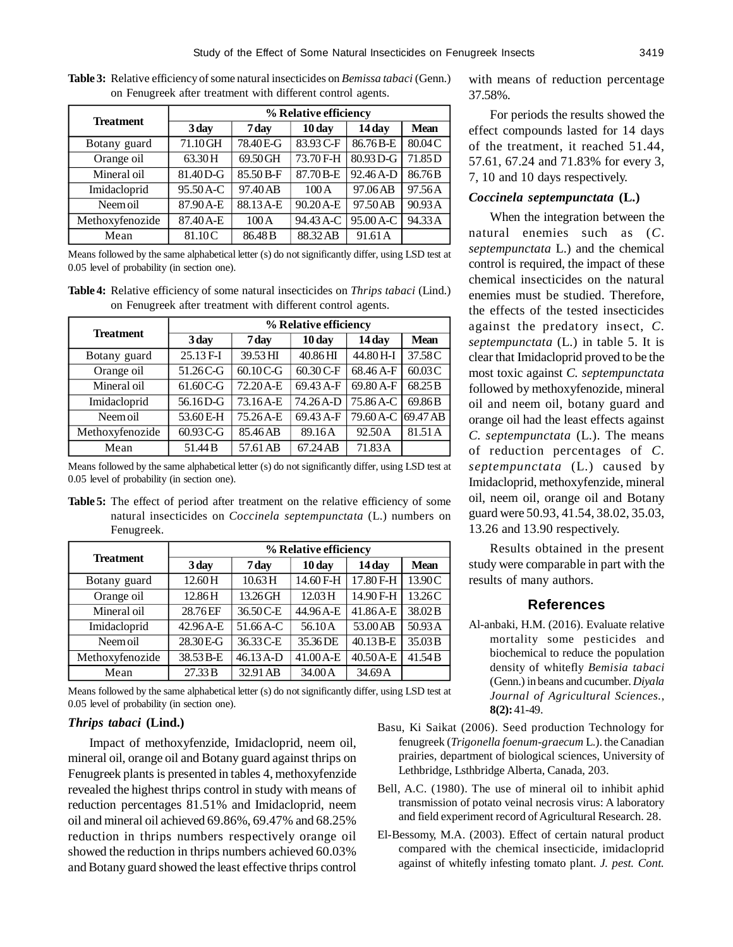| <b>Treatment</b> | % Relative efficiency  |                    |                     |             |             |
|------------------|------------------------|--------------------|---------------------|-------------|-------------|
|                  | 3 day                  | 7 day              | $10 \,\mathrm{day}$ | $14 \, day$ | <b>Mean</b> |
| Botany guard     | 71.10 GH               | 78.40 E-G          | 83.93 C-F           | 86.76B-E    | 80.04 C     |
| Orange oil       | 63.30H                 | 69.50 GH           | 73.70 F-H           | 80.93 D-G   | 71.85D      |
| Mineral oil      | 81.40 D-G              | $85.50 B-F$        | 87.70 B-E           | 92.46 A-D   | 86.76B      |
| Imidacloprid     | $\overline{95.50}$ A-C | 97.40 AB           | 100A                | 97.06AB     | 97.56A      |
| Neem oil         | 87.90 A-E              | 88.13 A-E          | 90.20A-E            | 97.50 AB    | 90.93A      |
| Methoxyfenozide  | 87.40 A-E              | 100A               | 94.43 A-C           | $95.00A-C$  | 94.33A      |
| Mean             | 81.10C                 | 86.48 <sub>B</sub> | 88.32 AB            | 91.61A      |             |

**Table 3:** Relative efficiency of some natural insecticides on *Bemissa tabaci* (Genn.) on Fenugreek after treatment with different control agents.

Means followed by the same alphabetical letter (s) do not significantly differ, using LSD test at 0.05 level of probability (in section one).

**Table 4:** Relative efficiency of some natural insecticides on *Thrips tabaci* (Lind.) on Fenugreek after treatment with different control agents.

| <b>Treatment</b> | % Relative efficiency |           |             |                    |                    |
|------------------|-----------------------|-----------|-------------|--------------------|--------------------|
|                  | 3 day                 | 7 day     | $10 \, day$ | $14 \, day$        | <b>Mean</b>        |
| Botany guard     | 25.13 F-I             | 39.53 HI  | 40.86 HI    | 44.80 H-I          | 37.58C             |
| Orange oil       | 51.26 C-G             | 60.10 C-G | 60.30 C-F   | 68.46 A-F          | 60.03 C            |
| Mineral oil      | $61.60C-G$            | 72.20 A-E | 69.43 A-F   | 69.80 A-F          | 68.25 <sub>B</sub> |
| Imidacloprid     | 56.16D-G              | 73.16A-E  | 74.26 A-D   | 75.86 A-C          | 69.86B             |
| Neem oil         | 53.60 E-H             | 75.26A-E  | 69.43 A-F   | 79.60 A-C 69.47 AB |                    |
| Methoxyfenozide  | 60.93 C-G             | 85.46AB   | 89.16A      | 92.50A             | 81.51A             |
| Mean             | 51.44B                | 57.61 AB  | 67.24 AB    | 71.83A             |                    |

Means followed by the same alphabetical letter (s) do not significantly differ, using LSD test at 0.05 level of probability (in section one).

**Table 5:** The effect of period after treatment on the relative efficiency of some natural insecticides on *Coccinela septempunctata* (L.) numbers on Fenugreek.

| <b>Treatment</b> | % Relative efficiency |           |            |           |                    |
|------------------|-----------------------|-----------|------------|-----------|--------------------|
|                  | 3 day                 | 7 day     | $10 \,day$ | 14 day    | <b>Mean</b>        |
| Botany guard     | 12.60H                | 10.63H    | 14.60 F-H  | 17.80 F-H | 13.90C             |
| Orange oil       | 12.86H                | 13.26 GH  | 12.03H     | 14.90 F-H | 13.26C             |
| Mineral oil      | 28.76 EF              | 36.50 C-E | 44.96A-E   | 41.86A-E  | 38.02B             |
| Imidacloprid     | 42.96 A-E             | 51.66 A-C | 56.10A     | 53.00 AB  | 50.93A             |
| Neem oil         | 28.30 E-G             | 36.33 C-E | 35.36 DE   | 40.13 B-E | 35.03 <sub>B</sub> |
| Methoxyfenozide  | 38.53 B-E             | 46.13 A-D | 41.00 A-E  | 40.50 A-E | 41.54B             |
| Mean             | 27.33 B               | 32.91 AB  | 34.00 A    | 34.69A    |                    |

Means followed by the same alphabetical letter (s) do not significantly differ, using LSD test at 0.05 level of probability (in section one).

#### *Thrips tabaci* **(Lind.)**

Impact of methoxyfenzide, Imidacloprid, neem oil, mineral oil, orange oil and Botany guard against thrips on Fenugreek plants is presented in tables 4, methoxyfenzide revealed the highest thrips control in study with means of reduction percentages 81.51% and Imidacloprid, neem oil and mineral oil achieved 69.86%, 69.47% and 68.25% reduction in thrips numbers respectively orange oil showed the reduction in thrips numbers achieved 60.03% and Botany guard showed the least effective thrips control

with means of reduction percentage 37.58%.

For periods the results showed the effect compounds lasted for 14 days of the treatment, it reached 51.44, 57.61, 67.24 and 71.83% for every 3, 7, 10 and 10 days respectively.

#### *Coccinela septempunctata* **(L.)**

When the integration between the natural enemies such as (*C*. *septempunctata* L.) and the chemical control is required, the impact of these chemical insecticides on the natural enemies must be studied. Therefore, the effects of the tested insecticides against the predatory insect, *C. septempunctata* (L.) in table 5. It is clear that Imidacloprid proved to be the most toxic against *C. septempunctata* followed by methoxyfenozide, mineral oil and neem oil, botany guard and orange oil had the least effects against *C. septempunctata* (L.). The means of reduction percentages of *C. septempunctata* (L.) caused by Imidacloprid, methoxyfenzide, mineral oil, neem oil, orange oil and Botany guard were 50.93, 41.54, 38.02, 35.03, 13.26 and 13.90 respectively.

Results obtained in the present study were comparable in part with the results of many authors.

#### **References**

- Al-anbaki, H.M. (2016). Evaluate relative mortality some pesticides and biochemical to reduce the population density of whitefly *Bemisia tabaci* (Genn.) in beans and cucumber. *Diyala Journal of Agricultural Sciences.*, **8(2):** 41-49.
- Basu, Ki Saikat (2006). Seed production Technology for fenugreek (*Trigonella foenum-graecum* L.). the Canadian prairies, department of biological sciences, University of Lethbridge, Lsthbridge Alberta, Canada, 203.
- Bell, A.C. (1980). The use of mineral oil to inhibit aphid transmission of potato veinal necrosis virus: A laboratory and field experiment record of Agricultural Research. 28.
- El-Bessomy, M.A. (2003). Effect of certain natural product compared with the chemical insecticide, imidacloprid against of whitefly infesting tomato plant. *J. pest. Cont.*